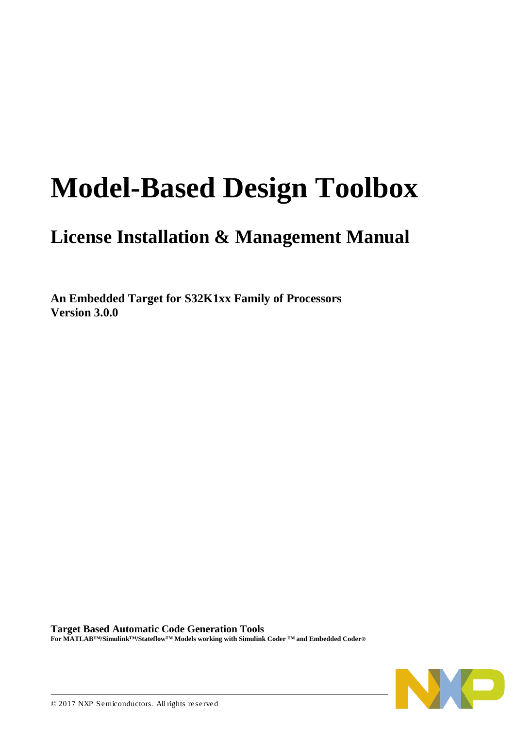# **Model-Based Design Toolbox**

## **License Installation & Management Manual**

**An Embedded Target for S32K1xx Family of Processors Version 3.0.0**

**Target Based Automatic Code Generation Tools For MATLAB™/Simulink™/Stateflow™ Models working with Simulink Coder ™ and Embedded Coder®**

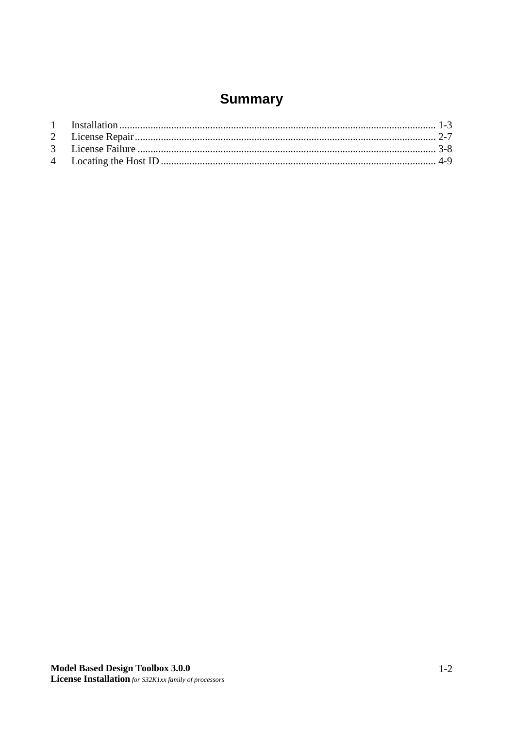## **Summary**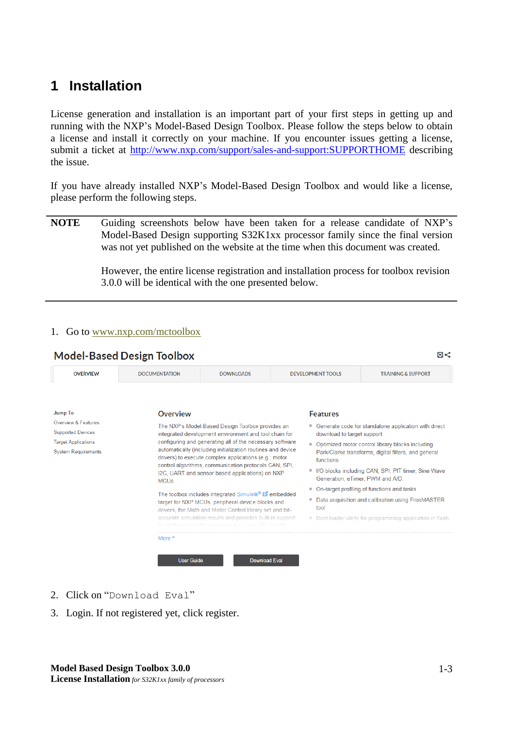## <span id="page-2-0"></span>**1 Installation**

License generation and installation is an important part of your first steps in getting up and running with the NXP's Model-Based Design Toolbox. Please follow the steps below to obtain a license and install it correctly on your machine. If you encounter issues getting a license, submit a ticket at<http://www.nxp.com/support/sales-and-support:SUPPORTHOME> describing the issue.

If you have already installed NXP's Model-Based Design Toolbox and would like a license, please perform the following steps.

**NOTE** Guiding screenshots below have been taken for a release candidate of NXP's Model-Based Design supporting S32K1xx processor family since the final version was not yet published on the website at the time when this document was created.

> However, the entire license registration and installation process for toolbox revision 3.0.0 will be identical with the one presented below.

## 1. Go to [www.nxp.com/mctoolbox](http://www.nxp.com/mctoolbox)

| <b>OVERVIEW</b>                                        | <b>DOCUMENTATION</b><br><b>DOWNLOADS</b>                                                                                                                                     |                                                                                                                   |  | <b>DEVELOPMENT TOOLS</b><br><b>TRAINING &amp; SUPPORT</b>      |                                                                                         |  |
|--------------------------------------------------------|------------------------------------------------------------------------------------------------------------------------------------------------------------------------------|-------------------------------------------------------------------------------------------------------------------|--|----------------------------------------------------------------|-----------------------------------------------------------------------------------------|--|
| <b>Jump To</b><br>Overview & Features                  | Overview                                                                                                                                                                     | The NXP's Model-Based Design Toolbox provides an                                                                  |  | <b>Features</b>                                                | ■ Generate code for standalone application with direct                                  |  |
| <b>Supported Devices</b><br><b>Target Applications</b> |                                                                                                                                                                              | integrated development environment and tool chain for<br>configuring and generating all of the necessary software |  | download to target support                                     | • Optimized motor control library blocks including                                      |  |
| <b>System Requirements</b>                             | automatically (including initialization routines and device<br>drivers) to execute complex applications (e.g.: motor                                                         |                                                                                                                   |  | functions                                                      | Park/Clarke transforms, digital filters, and general                                    |  |
|                                                        | MCU <sub>s</sub>                                                                                                                                                             | control algorithms, communication protocols CAN, SPI.<br>I2C, UART and sensor based applications) on NXP          |  | ٠                                                              | I/O blocks including CAN, SPI, PIT timer, Sine Wave<br>Generation, eTimer, PWM and A/D. |  |
|                                                        |                                                                                                                                                                              |                                                                                                                   |  | ٠                                                              | On-target profiling of functions and tasks                                              |  |
|                                                        | The toolbox includes integrated Simulink® $\Sigma$ embedded<br>target for NXP MCUs, peripheral device blocks and<br>drivers, the Math and Motor Control library set and bit- |                                                                                                                   |  | Data acquisition and calibration using FreeMASTER<br>۰<br>tool |                                                                                         |  |
|                                                        | accurate simulation results and provides built-in support                                                                                                                    |                                                                                                                   |  |                                                                | ■ Boot loader utility for programming application in flash                              |  |
|                                                        | More $\overline{ }$                                                                                                                                                          |                                                                                                                   |  |                                                                |                                                                                         |  |

- 2. Click on "Download Eval"
- 3. Login. If not registered yet, click register.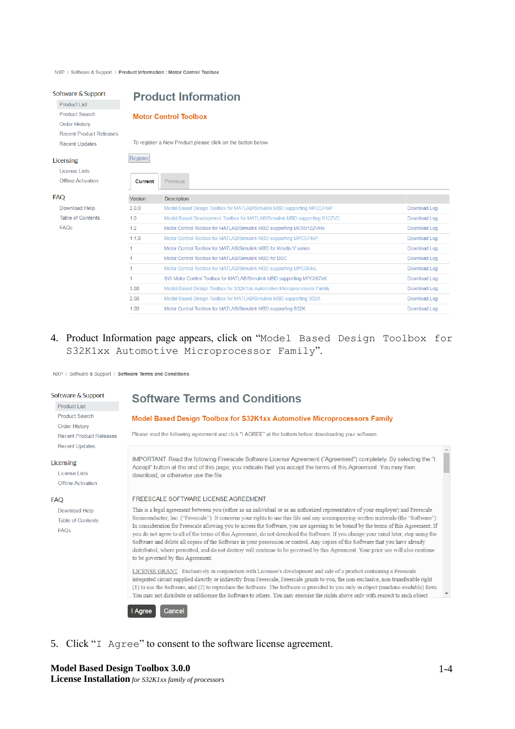NXP > Software & Support > Product Information : Motor Control Toolbox

#### Software & Support

Product List **Product Search** Order History **Recent Product Releases Recent Updates** 

### Licensing

**License Lists Offline Activation** 

#### **FAQ**

Download Help **Table of Contents FAQs** 

## **Product Information**

### **Motor Control Toolbox**

To register a New Product please click on the button below

| Current | Previous                                                                  |              |
|---------|---------------------------------------------------------------------------|--------------|
| Version | Description                                                               |              |
| 200     | Model Based Design Toolbox for MATLAB/Simulink MBD supporting MPC574xP    | Download Log |
| 10      | Model Based Development Toolbox for MATLAB/Simulink MBD supporting S12ZVC | Download Log |
| 12      | Motor Control Toolbox for MATLAB/Simulink MBD supporting MC9S12ZVMx       | Download Log |
| 1.1.0   | Motor Control Toolbox for MATLAB/Simulink MBD supporting MPC574xP         | Download Log |
|         | Motor Control Toolbox for MATI AB/Simulink MBD for Kinetis V series       | Download Log |
|         | Motor Control Toolbox for MATLAB/Simulink MBD for DSC                     | Download Log |
|         | Motor Control Toolbox for MATLAB/Simulink MBD supporting MPC564xL         | Download Log |
|         | SW Motor Control Toolbox for MATLAB/Simulink MBD supporting MPC567xK      | Download Log |
| 3.00    | Model Based Design Toolbox for S32K1xx Automotive Microprocessors Family  | Download Log |
| 200     | Model Based Design Toolbox for MATLAB/Simulink MBD supporting S32K        | Download Log |
| 100     | Motor Control Toolbox for MATLAB/Simulink MBD supporting S32K             | Download Log |

4. Product Information page appears, click on "Model Based Design Toolbox for S32K1xx Automotive Microprocessor Family".

NXP > Software & Support > Software Terms and Conditions

#### Software & Support

Product List **Product Search** Order History **Recent Product Releases** Recent Undates

#### Licensing

License Lists Offline Activation

#### **FAO**

Download Help **Table of Contents**  $FAOs$ 

## **Software Terms and Conditions**

### Model Based Design Toolbox for S32K1xx Automotive Microprocessors Family

Please read the following agreement and click "LAGREE" at the bottom before downloading your software

IMPORTANT. Read the following Freescale Software License Agreement ("Agreement") completely. By selecting the "I Accept" button at the end of this page, you indicate that you accept the terms of this Agreement. You may then download or otherwise use the file

#### FREESCALE SOFTWARE LICENSE AGREEMENT

This is a legal agreement between you (either as an individual or as an authorized representative of your employer) and Freescale Semiconductor, Inc. ("Freescale"). It concerns your rights to use this file and any accompanying written materials (the "Software"). In consideration for Freescale allowing you to access the Software, you are agreeing to be bound by the terms of this Agreement. If you do not agree to all of the terms of this Agreement, do not download the Software. If you change your mind later, stop using the Software and delete all copies of the Software in your possession or control. Any copies of the Software that you have already distributed, where permitted, and do not destroy will continue to be governed by this Agreement. Your prior use will also continue to be governed by this Agreement.

LICENSE GRANT. Exclusively in conjunction with Licensee's development and sale of a product containing a Freescale integrated circuit supplied directly or indirectly from Freescale. Freescale grants to you, the non-exclusive, non-transferable right (1) to use the Software, and (2) to reproduce the Software. The Software is provided to you only in object (machine-readable) form. You may not distribute or sublicense the Software to others. You may exercise the rights above only with respect to such object

#### Cancel I Agree

5. Click "I Agree" to consent to the software license agreement.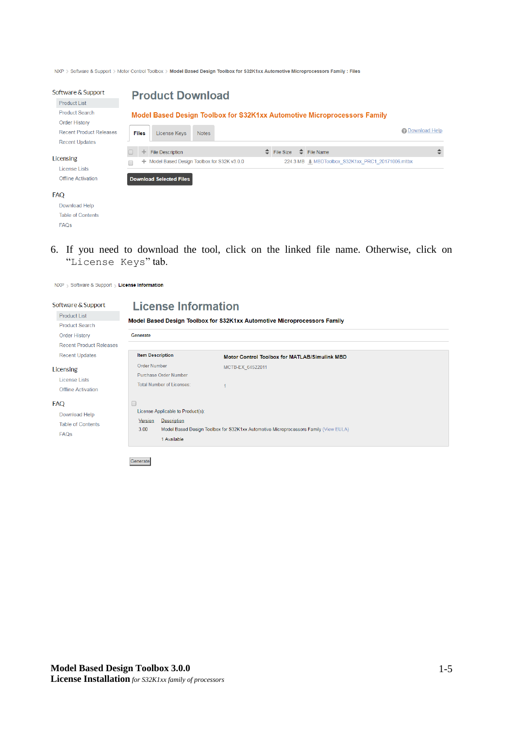NXP > Software & Support > Motor Control Toolbox > Model Based Design Toolbox for \$32K1xx Automotive Microprocessors Family : Files

| Software & Support             |              | <b>Product Download</b>                    |              |  |                  |                                                                          |                 |
|--------------------------------|--------------|--------------------------------------------|--------------|--|------------------|--------------------------------------------------------------------------|-----------------|
| <b>Product List</b>            |              |                                            |              |  |                  |                                                                          |                 |
| <b>Product Search</b>          |              |                                            |              |  |                  | Model Based Design Toolbox for S32K1xx Automotive Microprocessors Family |                 |
| <b>Order History</b>           |              |                                            |              |  |                  |                                                                          |                 |
| <b>Recent Product Releases</b> | <b>Files</b> | License Keys                               | <b>Notes</b> |  |                  |                                                                          | 2 Download Help |
| <b>Recent Updates</b>          |              |                                            |              |  |                  |                                                                          |                 |
|                                | ÷            | <b>File Description</b>                    |              |  | $\div$ File Size | $\Rightarrow$ File Name                                                  | ÷               |
| Licensing                      | ÷            | Model Based Design Toolbox for S32K v3.0.0 |              |  |                  |                                                                          |                 |
| <b>License Lists</b>           |              |                                            |              |  |                  |                                                                          |                 |
| Offline Activation             |              | <b>Download Selected Files</b>             |              |  |                  |                                                                          |                 |
| <b>FAO</b>                     |              |                                            |              |  |                  |                                                                          |                 |
| Download Help                  |              |                                            |              |  |                  |                                                                          |                 |
| <b>Table of Contents</b>       |              |                                            |              |  |                  |                                                                          |                 |
| <b>FAQs</b>                    |              |                                            |              |  |                  |                                                                          |                 |

6. If you need to download the tool, click on the linked file name. Otherwise, click on "License Keys" tab.

| Software & Support                                              | <b>License Information</b>                                                                          |                                                                                      |  |
|-----------------------------------------------------------------|-----------------------------------------------------------------------------------------------------|--------------------------------------------------------------------------------------|--|
| <b>Product List</b>                                             |                                                                                                     | Model Based Design Toolbox for S32K1xx Automotive Microprocessors Family             |  |
| <b>Product Search</b>                                           |                                                                                                     |                                                                                      |  |
| <b>Order History</b>                                            | Generate                                                                                            |                                                                                      |  |
| <b>Recent Product Releases</b>                                  |                                                                                                     |                                                                                      |  |
| <b>Recent Updates</b>                                           | <b>Item Description</b>                                                                             | Motor Control Toolbox for MATLAB/Simulink MBD                                        |  |
| Licensing<br><b>License Lists</b><br><b>Offline Activation</b>  | <b>Order Number</b><br>Purchase Order Number<br>Total Number of Licenses:                           | MCTB-EX 64522011                                                                     |  |
| FAQ<br>Download Help<br><b>Table of Contents</b><br><b>FAQs</b> | O<br>License Applicable to Product(s):<br>Description<br>Version<br>3.00<br>1 Available<br>Generate | Model Based Design Toolbox for S32K1xx Automotive Microprocessors Family (View EULA) |  |

NXP > Software & Support > License Information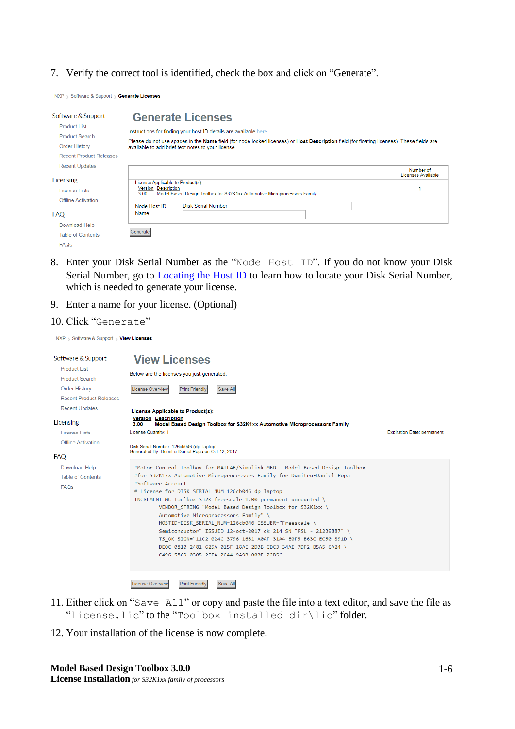### 7. Verify the correct tool is identified, check the box and click on "Generate".

NXP > Software & Support > Generate Licenses

| Software & Support             |                                    | <b>Generate Licenses</b>                                                                                                                                                                        |                                 |
|--------------------------------|------------------------------------|-------------------------------------------------------------------------------------------------------------------------------------------------------------------------------------------------|---------------------------------|
| <b>Product List</b>            |                                    | Instructions for finding your host ID details are available here.                                                                                                                               |                                 |
| <b>Product Search</b>          |                                    |                                                                                                                                                                                                 |                                 |
| <b>Order History</b>           |                                    | Please do not use spaces in the Name field (for node-locked licenses) or Host Description field (for floating licenses). These fields are<br>available to add brief text notes to your license. |                                 |
| <b>Recent Product Releases</b> |                                    |                                                                                                                                                                                                 |                                 |
| <b>Recent Updates</b>          |                                    |                                                                                                                                                                                                 | Number of<br>Licenses Available |
| Licensing                      | License Applicable to Product(s):  |                                                                                                                                                                                                 |                                 |
| License Lists                  | <b>Version Description</b><br>3.00 | Model Based Design Toolbox for S32K1xx Automotive Microprocessors Family                                                                                                                        |                                 |
| <b>Offline Activation</b>      | Node Host ID                       | <b>Disk Serial Number</b>                                                                                                                                                                       |                                 |
| <b>FAQ</b>                     | Name                               |                                                                                                                                                                                                 |                                 |
| Download Help                  |                                    |                                                                                                                                                                                                 |                                 |
| <b>Table of Contents</b>       | Generate                           |                                                                                                                                                                                                 |                                 |
| <b>FAQs</b>                    |                                    |                                                                                                                                                                                                 |                                 |

- 8. Enter your Disk Serial Number as the "Node Host ID". If you do not know your Disk Serial Number, go to **Locating the Host ID** to learn how to locate your Disk Serial Number, which is needed to generate your license.
- 9. Enter a name for your license. (Optional)

### 10. Click "Generate"

NXP Software & Support View Licenses

| Software & Support<br><b>Product List</b><br><b>Product Search</b><br><b>Order History</b><br><b>Recent Product Releases</b> | <b>View Licenses</b><br>Below are the licenses you just generated.<br><b>License Overview</b><br><b>Print Friendly</b><br>Save All                                                                                                                                                                                                                                                                                                                                                                                                                                                                                                                                                                           |                                   |
|------------------------------------------------------------------------------------------------------------------------------|--------------------------------------------------------------------------------------------------------------------------------------------------------------------------------------------------------------------------------------------------------------------------------------------------------------------------------------------------------------------------------------------------------------------------------------------------------------------------------------------------------------------------------------------------------------------------------------------------------------------------------------------------------------------------------------------------------------|-----------------------------------|
| <b>Recent Updates</b><br>Licensing<br>License Lists                                                                          | License Applicable to Product(s):<br><b>Version Description</b><br>3.00<br>Model Based Design Toolbox for S32K1xx Automotive Microprocessors Family<br>License Quantity: 1                                                                                                                                                                                                                                                                                                                                                                                                                                                                                                                                   | <b>Expiration Date: permanent</b> |
| <b>Offline Activation</b><br><b>FAQ</b>                                                                                      | Disk Serial Number: 126cb046 (dp laptop)<br>Generated By: Dumitru-Daniel Popa on Oct 12, 2017                                                                                                                                                                                                                                                                                                                                                                                                                                                                                                                                                                                                                |                                   |
| Download Help<br><b>Table of Contents</b><br><b>FAQs</b>                                                                     | #Motor Control Toolbox for MATLAB/Simulink MBD - Model Based Design Toolbox<br>#for S32K1xx Automotive Microprocessors Family for Dumitru-Daniel Popa<br>#Software Account<br># License for DISK SERIAL NUM=126cb046 dp laptop<br>INCREMENT MC Toolbox S32K freescale 1.00 permanent uncounted \<br>VENDOR STRING="Model Based Design Toolbox for S32K1xx \<br>Automotive Microprocessors Family" \<br>HOSTID=DISK SERIAL NUM=126cb046 ISSUER="Freescale \<br>Semiconductor" ISSUED=12-oct-2017 ck=214 SN="FSL - 21239887" \<br>TS OK SIGN="11C2 024C 3796 16B1 A0AF 31A4 E0F5 B63C EC50 891D \<br>DE0C 0810 2481 625A 015F 18AE 2D3B CDC3 34AE 7DF2 B5A5 6A24 \<br>C496 58C9 0305 2EFA 2CA4 9A9B 000E 22B5" |                                   |

- 11. Either click on "Save All" or copy and paste the file into a text editor, and save the file as "license.lic" to the "Toolbox installed dir\lic" folder.
- <span id="page-5-0"></span>12. Your installation of the license is now complete.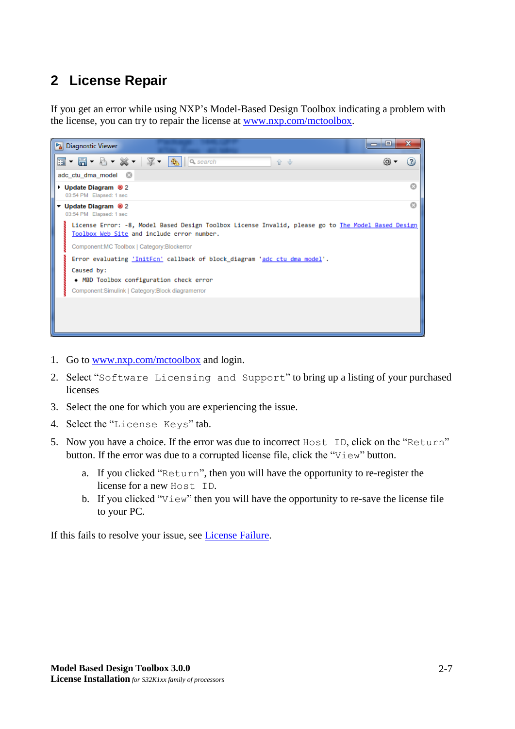## <span id="page-6-0"></span>**2 License Repair**

If you get an error while using NXP's Model-Based Design Toolbox indicating a problem with the license, you can try to repair the license at [www.nxp.com/mctoolbox.](http://www.nxp.com/mctoolbox)



- 1. Go to [www.nxp.com/mctoolbox](http://www.nxp.com/mctoolbox) and login.
- 2. Select "Software Licensing and Support" to bring up a listing of your purchased licenses
- 3. Select the one for which you are experiencing the issue.
- 4. Select the "License Keys" tab.
- 5. Now you have a choice. If the error was due to incorrect Host ID, click on the "Return" button. If the error was due to a corrupted license file, click the "View" button.
	- a. If you clicked "Return", then you will have the opportunity to re-register the license for a new Host ID.
	- b. If you clicked "View" then you will have the opportunity to re-save the license file to your PC.

<span id="page-6-1"></span>If this fails to resolve your issue, see [License Failure.](#page-6-1)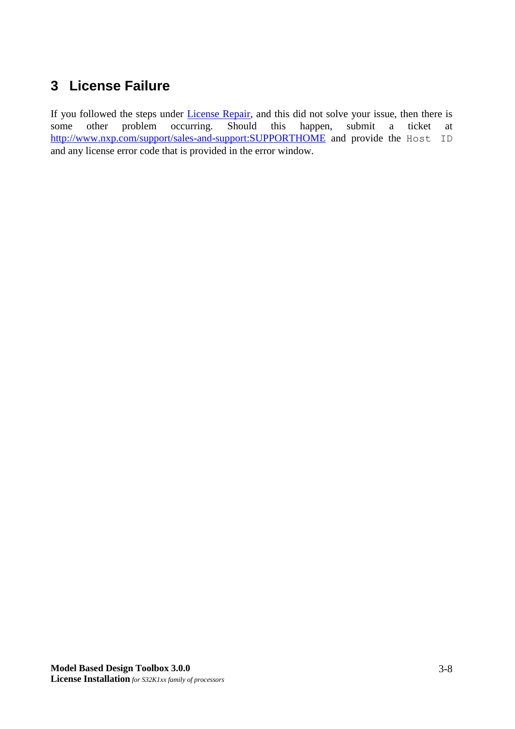## <span id="page-7-0"></span>**3 License Failure**

<span id="page-7-1"></span>If you followed the steps under *License Repair*, and this did not solve your issue, then there is some other problem occurring. Should this happen, submit a ticket at <http://www.nxp.com/support/sales-and-support:SUPPORTHOME> and provide the Host ID and any license error code that is provided in the error window.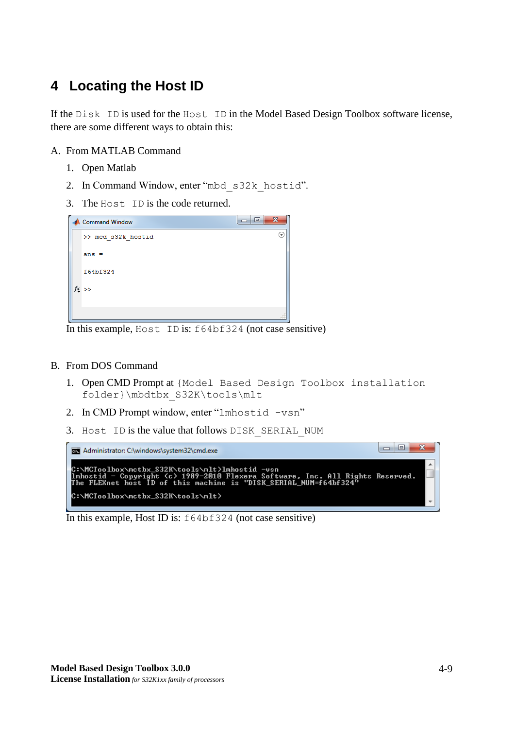## <span id="page-8-0"></span>**4 Locating the Host ID**

If the Disk ID is used for the Host ID in the Model Based Design Toolbox software license, there are some different ways to obtain this:

## A. From MATLAB Command

- 1. Open Matlab
- 2. In Command Window, enter "mbd\_s32k\_hostid".
- 3. The Host ID is the code returned.

| æ<br><b>Command Window</b> | х  |
|----------------------------|----|
| >> mcd s32k hostid         | (w |
| $ans =$                    |    |
| f64bf324                   |    |
| $tx \rightarrow$           |    |
|                            |    |

In this example, Host ID is: f64bf324 (not case sensitive)

### B. From DOS Command

- 1. Open CMD Prompt at {Model Based Design Toolbox installation folder}\mbdtbx\_S32K\tools\mlt
- 2. In CMD Prompt window, enter "lmhostid -vsn"
- 3. Host ID is the value that follows DISK\_SERIAL\_NUM

| Administrator: C:\windows\system32\cmd.exe                                                                                                                                                              |  |
|---------------------------------------------------------------------------------------------------------------------------------------------------------------------------------------------------------|--|
| C:\MCToolbox\mctbx_S32K\tools\mlt>lmhostid -vsn<br>llmhostid - Copyright (c) 1989-2010 Flexera Software, Inc. All Rights Reserved.<br>The FLEXnet host ID of this machine is "DISK_SERIAL_NUM=f64bf324" |  |
| C:\MCToolbox\mctbx_S32K\tools\mlt>                                                                                                                                                                      |  |

In this example, Host ID is: f64bf324 (not case sensitive)